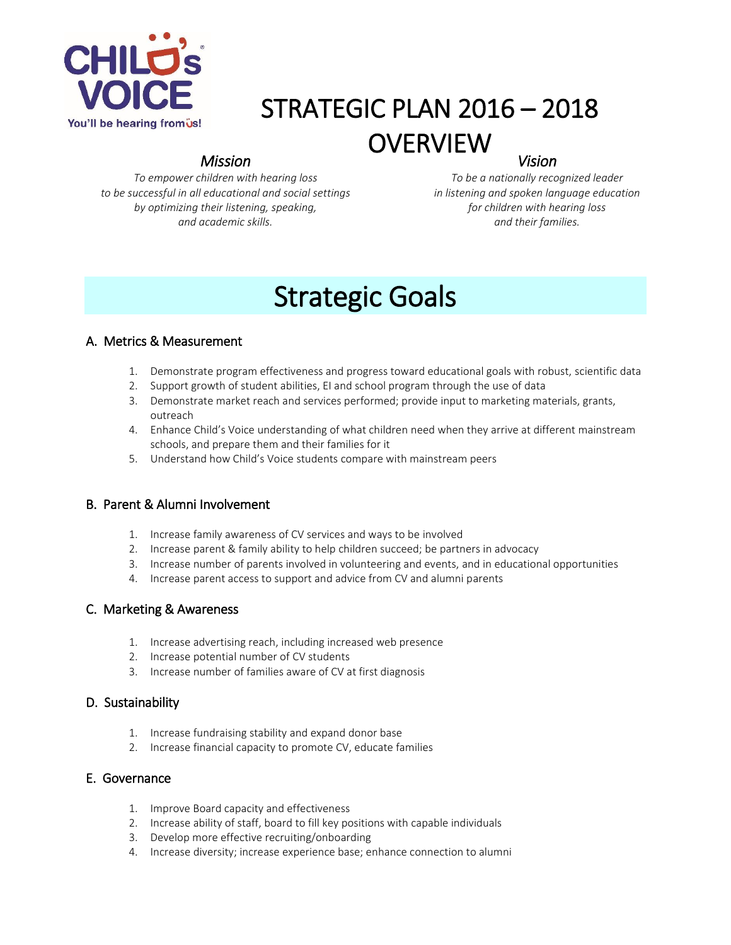

### STRATEGIC PLAN 2016 – 2018 **OVERVIEW** *Vision*

#### *Mission*

*To empower children with hearing loss to be successful in all educational and social settings by optimizing their listening, speaking, and academic skills.*

*To be a nationally recognized leader in listening and spoken language education for children with hearing loss and their families.*

# Strategic Goals

#### A. Metrics & Measurement

- 1. Demonstrate program effectiveness and progress toward educational goals with robust, scientific data
- 2. Support growth of student abilities, EI and school program through the use of data
- 3. Demonstrate market reach and services performed; provide input to marketing materials, grants, outreach
- 4. Enhance Child's Voice understanding of what children need when they arrive at different mainstream schools, and prepare them and their families for it
- 5. Understand how Child's Voice students compare with mainstream peers

#### B. Parent & Alumni Involvement

- 1. Increase family awareness of CV services and ways to be involved
- 2. Increase parent & family ability to help children succeed; be partners in advocacy
- 3. Increase number of parents involved in volunteering and events, and in educational opportunities
- 4. Increase parent access to support and advice from CV and alumni parents

#### C. Marketing & Awareness

- 1. Increase advertising reach, including increased web presence
- 2. Increase potential number of CV students
- 3. Increase number of families aware of CV at first diagnosis

#### D. Sustainability

- 1. Increase fundraising stability and expand donor base
- 2. Increase financial capacity to promote CV, educate families

#### E. Governance

- 1. Improve Board capacity and effectiveness
- 2. Increase ability of staff, board to fill key positions with capable individuals
- 3. Develop more effective recruiting/onboarding
- 4. Increase diversity; increase experience base; enhance connection to alumni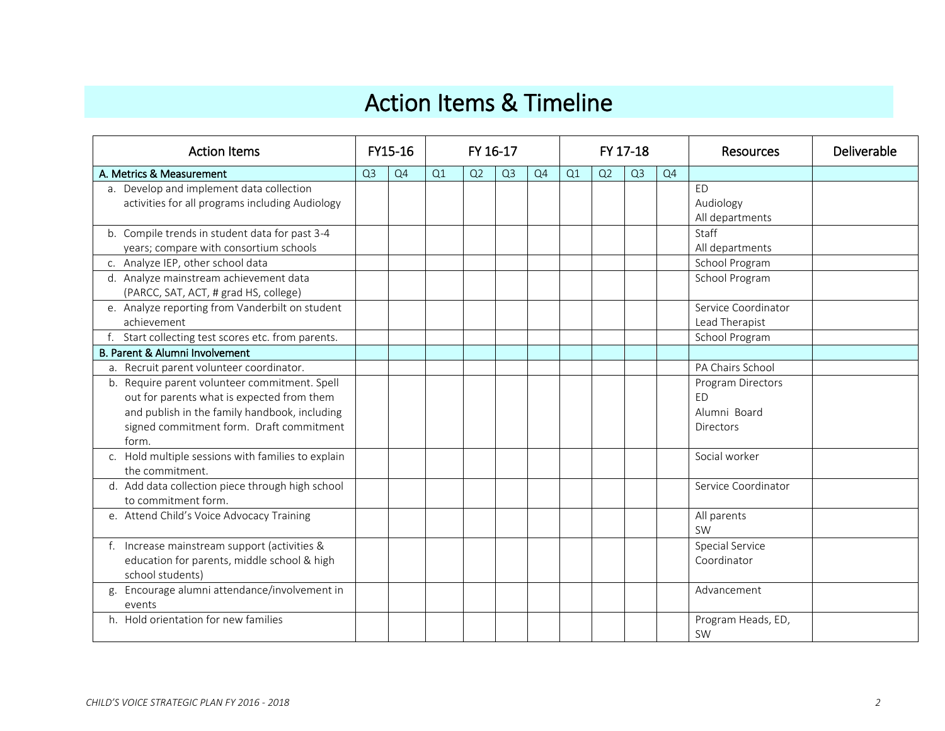## Action Items & Timeline

| <b>Action Items</b>                                                                                                                                                                               |                | FY15-16 | FY 16-17 |                |                |    |    | FY 17-18 |                | <b>Resources</b> | Deliverable                                                        |  |
|---------------------------------------------------------------------------------------------------------------------------------------------------------------------------------------------------|----------------|---------|----------|----------------|----------------|----|----|----------|----------------|------------------|--------------------------------------------------------------------|--|
| A. Metrics & Measurement                                                                                                                                                                          | Q <sub>3</sub> | Q4      | Q1       | Q <sub>2</sub> | Q <sub>3</sub> | Q4 | Q1 | Q2       | Q <sub>3</sub> | Q4               |                                                                    |  |
| a. Develop and implement data collection<br>activities for all programs including Audiology                                                                                                       |                |         |          |                |                |    |    |          |                |                  | <b>ED</b><br>Audiology<br>All departments                          |  |
| b. Compile trends in student data for past 3-4<br>years; compare with consortium schools                                                                                                          |                |         |          |                |                |    |    |          |                |                  | Staff<br>All departments                                           |  |
| c. Analyze IEP, other school data                                                                                                                                                                 |                |         |          |                |                |    |    |          |                |                  | School Program                                                     |  |
| d. Analyze mainstream achievement data<br>(PARCC, SAT, ACT, # grad HS, college)                                                                                                                   |                |         |          |                |                |    |    |          |                |                  | School Program                                                     |  |
| e. Analyze reporting from Vanderbilt on student<br>achievement                                                                                                                                    |                |         |          |                |                |    |    |          |                |                  | Service Coordinator<br>Lead Therapist                              |  |
| f. Start collecting test scores etc. from parents.                                                                                                                                                |                |         |          |                |                |    |    |          |                |                  | School Program                                                     |  |
| B. Parent & Alumni Involvement                                                                                                                                                                    |                |         |          |                |                |    |    |          |                |                  |                                                                    |  |
| a. Recruit parent volunteer coordinator.                                                                                                                                                          |                |         |          |                |                |    |    |          |                |                  | PA Chairs School                                                   |  |
| b. Require parent volunteer commitment. Spell<br>out for parents what is expected from them<br>and publish in the family handbook, including<br>signed commitment form. Draft commitment<br>form. |                |         |          |                |                |    |    |          |                |                  | Program Directors<br><b>ED</b><br>Alumni Board<br><b>Directors</b> |  |
| c. Hold multiple sessions with families to explain<br>the commitment.                                                                                                                             |                |         |          |                |                |    |    |          |                |                  | Social worker                                                      |  |
| d. Add data collection piece through high school<br>to commitment form.                                                                                                                           |                |         |          |                |                |    |    |          |                |                  | Service Coordinator                                                |  |
| e. Attend Child's Voice Advocacy Training                                                                                                                                                         |                |         |          |                |                |    |    |          |                |                  | All parents<br>SW                                                  |  |
| f. Increase mainstream support (activities &<br>education for parents, middle school & high<br>school students)                                                                                   |                |         |          |                |                |    |    |          |                |                  | <b>Special Service</b><br>Coordinator                              |  |
| g. Encourage alumni attendance/involvement in<br>events                                                                                                                                           |                |         |          |                |                |    |    |          |                |                  | Advancement                                                        |  |
| h. Hold orientation for new families                                                                                                                                                              |                |         |          |                |                |    |    |          |                |                  | Program Heads, ED,<br>SW                                           |  |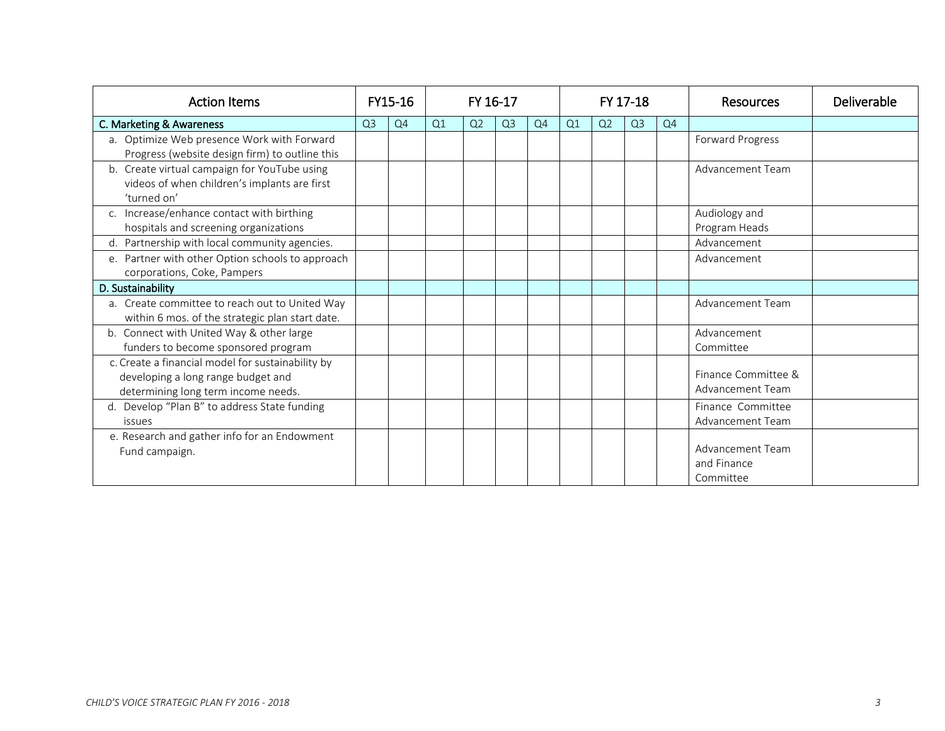| <b>Action Items</b>                                                                                                            |                | FY15-16 |    | FY 16-17       |                |    |    |                | FY 17-18       |    | Resources                                    | Deliverable |
|--------------------------------------------------------------------------------------------------------------------------------|----------------|---------|----|----------------|----------------|----|----|----------------|----------------|----|----------------------------------------------|-------------|
| C. Marketing & Awareness                                                                                                       | Q <sub>3</sub> | Q4      | Q1 | Q <sub>2</sub> | Q <sub>3</sub> | Q4 | Q1 | Q <sub>2</sub> | Q <sub>3</sub> | Q4 |                                              |             |
| a. Optimize Web presence Work with Forward<br>Progress (website design firm) to outline this                                   |                |         |    |                |                |    |    |                |                |    | Forward Progress                             |             |
| b. Create virtual campaign for YouTube using<br>videos of when children's implants are first<br>'turned on'                    |                |         |    |                |                |    |    |                |                |    | Advancement Team                             |             |
| c. Increase/enhance contact with birthing<br>hospitals and screening organizations                                             |                |         |    |                |                |    |    |                |                |    | Audiology and<br>Program Heads               |             |
| d. Partnership with local community agencies.                                                                                  |                |         |    |                |                |    |    |                |                |    | Advancement                                  |             |
| e. Partner with other Option schools to approach<br>corporations, Coke, Pampers                                                |                |         |    |                |                |    |    |                |                |    | Advancement                                  |             |
| D. Sustainability                                                                                                              |                |         |    |                |                |    |    |                |                |    |                                              |             |
| a. Create committee to reach out to United Way<br>within 6 mos. of the strategic plan start date.                              |                |         |    |                |                |    |    |                |                |    | Advancement Team                             |             |
| b. Connect with United Way & other large<br>funders to become sponsored program                                                |                |         |    |                |                |    |    |                |                |    | Advancement<br>Committee                     |             |
| c. Create a financial model for sustainability by<br>developing a long range budget and<br>determining long term income needs. |                |         |    |                |                |    |    |                |                |    | Finance Committee &<br>Advancement Team      |             |
| d. Develop "Plan B" to address State funding<br>issues                                                                         |                |         |    |                |                |    |    |                |                |    | Finance Committee<br>Advancement Team        |             |
| e. Research and gather info for an Endowment<br>Fund campaign.                                                                 |                |         |    |                |                |    |    |                |                |    | Advancement Team<br>and Finance<br>Committee |             |